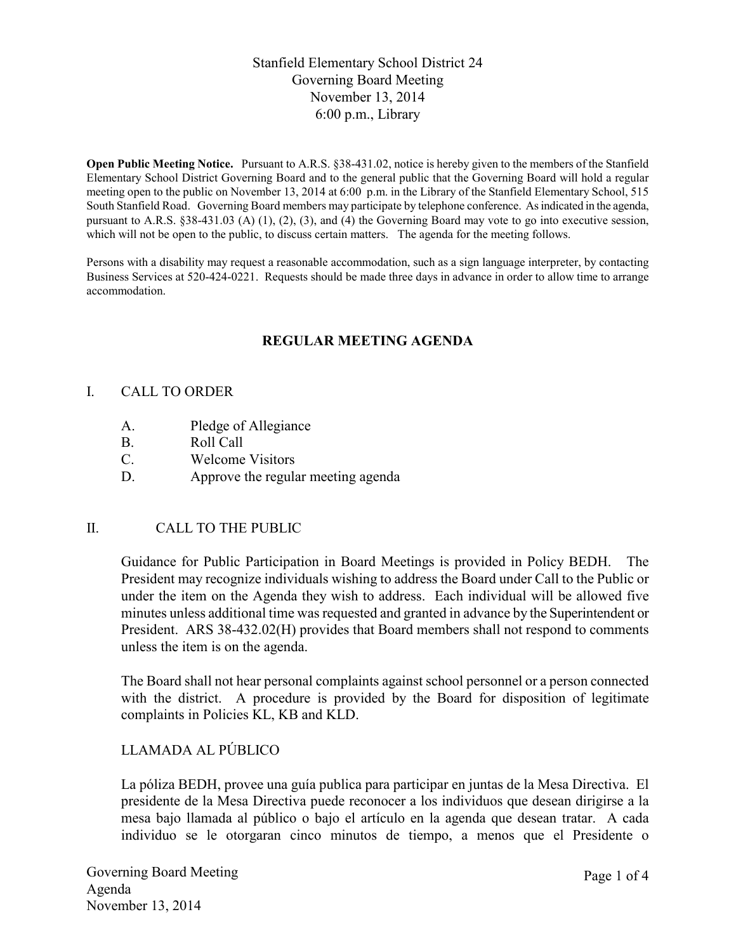# Stanfield Elementary School District 24 Governing Board Meeting November 13, 2014 6:00 p.m., Library

**Open Public Meeting Notice.** Pursuant to A.R.S. §38-431.02, notice is hereby given to the members of the Stanfield Elementary School District Governing Board and to the general public that the Governing Board will hold a regular meeting open to the public on November 13, 2014 at 6:00 p.m. in the Library of the Stanfield Elementary School, 515 South Stanfield Road. Governing Board members may participate by telephone conference. As indicated in the agenda, pursuant to A.R.S. §38-431.03 (A) (1), (2), (3), and (4) the Governing Board may vote to go into executive session, which will not be open to the public, to discuss certain matters. The agenda for the meeting follows.

Persons with a disability may request a reasonable accommodation, such as a sign language interpreter, by contacting Business Services at 520-424-0221. Requests should be made three days in advance in order to allow time to arrange accommodation.

# **REGULAR MEETING AGENDA**

#### I. CALL TO ORDER

- A. Pledge of Allegiance
- B. Roll Call
- C. Welcome Visitors
- D. Approve the regular meeting agenda

## II. CALL TO THE PUBLIC

Guidance for Public Participation in Board Meetings is provided in Policy BEDH. The President may recognize individuals wishing to address the Board under Call to the Public or under the item on the Agenda they wish to address. Each individual will be allowed five minutes unless additional time was requested and granted in advance by the Superintendent or President. ARS 38-432.02(H) provides that Board members shall not respond to comments unless the item is on the agenda.

The Board shall not hear personal complaints against school personnel or a person connected with the district. A procedure is provided by the Board for disposition of legitimate complaints in Policies KL, KB and KLD.

## LLAMADA AL PÚBLICO

La póliza BEDH, provee una guía publica para participar en juntas de la Mesa Directiva. El presidente de la Mesa Directiva puede reconocer a los individuos que desean dirigirse a la mesa bajo llamada al público o bajo el artículo en la agenda que desean tratar. A cada individuo se le otorgaran cinco minutos de tiempo, a menos que el Presidente o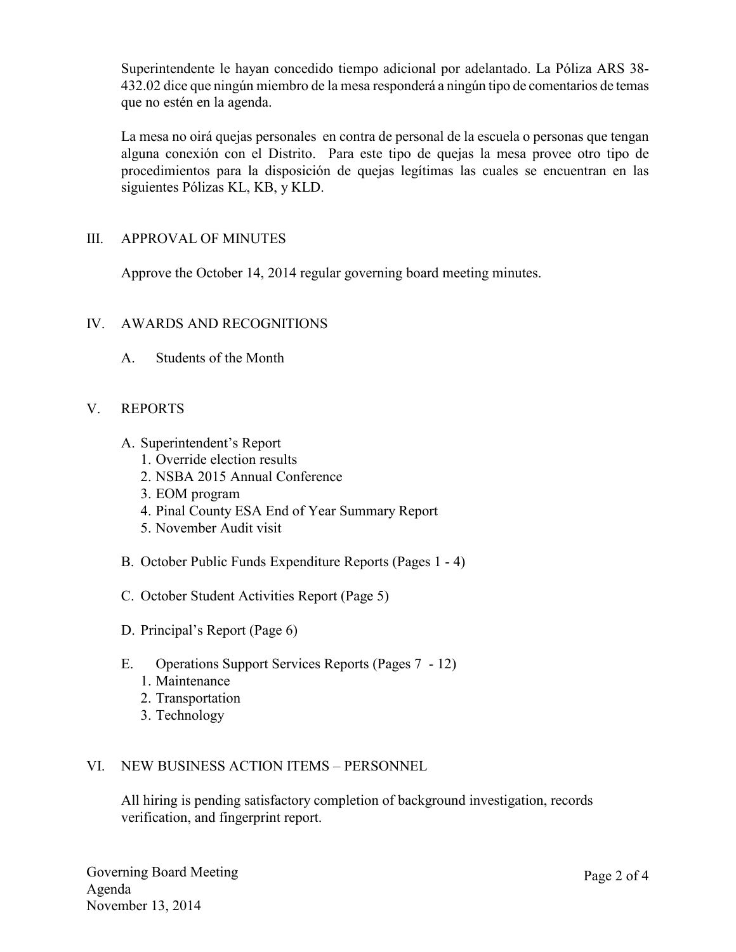Superintendente le hayan concedido tiempo adicional por adelantado. La Póliza ARS 38- 432.02 dice que ningún miembro de la mesa responderá a ningún tipo de comentarios de temas que no estén en la agenda.

La mesa no oirá quejas personales en contra de personal de la escuela o personas que tengan alguna conexión con el Distrito. Para este tipo de quejas la mesa provee otro tipo de procedimientos para la disposición de quejas legítimas las cuales se encuentran en las siguientes Pólizas KL, KB, y KLD.

## III. APPROVAL OF MINUTES

Approve the October 14, 2014 regular governing board meeting minutes.

## IV. AWARDS AND RECOGNITIONS

A. Students of the Month

## V. REPORTS

- A. Superintendent's Report
	- 1. Override election results
	- 2. NSBA 2015 Annual Conference
	- 3. EOM program
	- 4. Pinal County ESA End of Year Summary Report
	- 5. November Audit visit
- B. October Public Funds Expenditure Reports (Pages 1 4)
- C. October Student Activities Report (Page 5)
- D. Principal's Report (Page 6)
- E. Operations Support Services Reports (Pages 7 12)
	- 1. Maintenance
	- 2. Transportation
	- 3. Technology

#### VI. NEW BUSINESS ACTION ITEMS – PERSONNEL

All hiring is pending satisfactory completion of background investigation, records verification, and fingerprint report.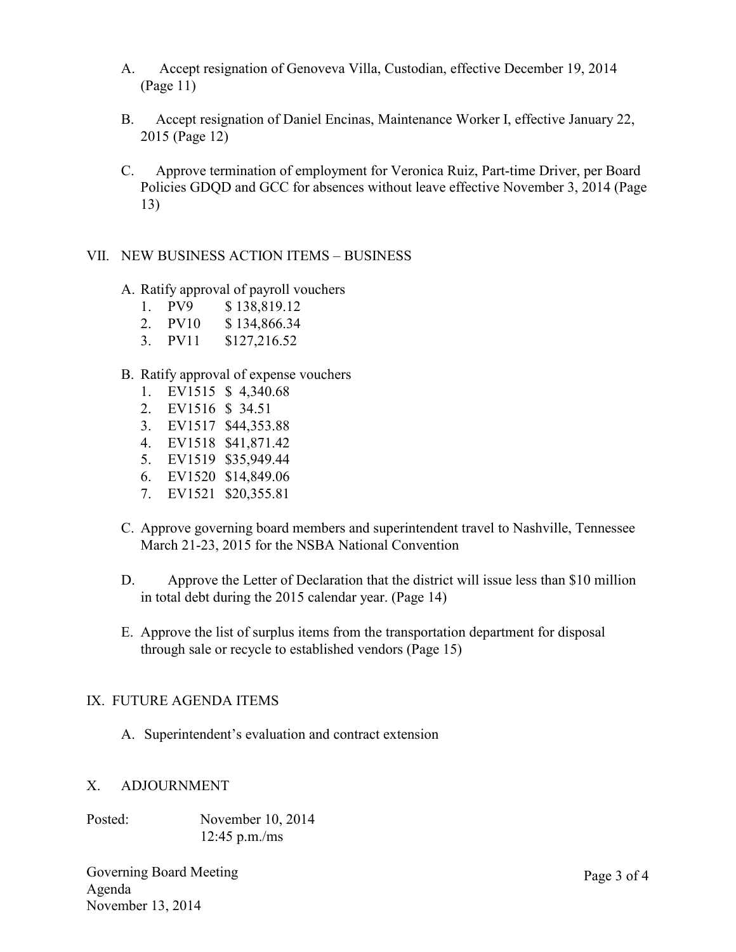- A. Accept resignation of Genoveva Villa, Custodian, effective December 19, 2014 (Page 11)
- B. Accept resignation of Daniel Encinas, Maintenance Worker I, effective January 22, 2015 (Page 12)
- C. Approve termination of employment for Veronica Ruiz, Part-time Driver, per Board Policies GDQD and GCC for absences without leave effective November 3, 2014 (Page 13)

## VII. NEW BUSINESS ACTION ITEMS – BUSINESS

- A. Ratify approval of payroll vouchers
	- 1. PV9 \$ 138,819.12
	- 2. PV10 \$ 134,866.34
	- 3. PV11 \$127,216.52

#### B. Ratify approval of expense vouchers

- 1. EV1515 \$ 4,340.68
- 2. EV1516 \$ 34.51
- 3. EV1517 \$44,353.88
- 4. EV1518 \$41,871.42
- 5. EV1519 \$35,949.44
- 6. EV1520 \$14,849.06
- 7. EV1521 \$20,355.81
- C. Approve governing board members and superintendent travel to Nashville, Tennessee March 21-23, 2015 for the NSBA National Convention
- D. Approve the Letter of Declaration that the district will issue less than \$10 million in total debt during the 2015 calendar year. (Page 14)
- E. Approve the list of surplus items from the transportation department for disposal through sale or recycle to established vendors (Page 15)

#### IX. FUTURE AGENDA ITEMS

A. Superintendent's evaluation and contract extension

# X. ADJOURNMENT

Posted: November 10, 2014 12:45 p.m./ms

Governing Board Meeting Agenda November 13, 2014